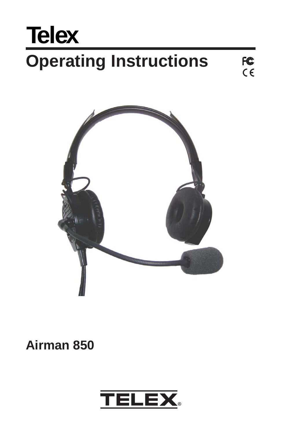# **Operating Instructions Telex**®

FC<br>CE



**Airman 850**

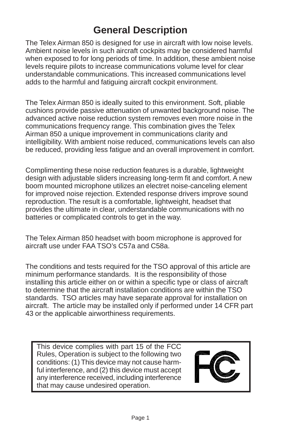## **General Description**

The Telex Airman 850 is designed for use in aircraft with low noise levels. Ambient noise levels in such aircraft cockpits may be considered harmful when exposed to for long periods of time. In addition, these ambient noise levels require pilots to increase communications volume level for clear understandable communications. This increased communications level adds to the harmful and fatiguing aircraft cockpit environment.

The Telex Airman 850 is ideally suited to this environment. Soft, pliable cushions provide passive attenuation of unwanted background noise. The advanced active noise reduction system removes even more noise in the communications frequency range. This combination gives the Telex Airman 850 a unique improvement in communications clarity and intelligibility. With ambient noise reduced, communications levels can also be reduced, providing less fatigue and an overall improvement in comfort.

Complimenting these noise reduction features is a durable, lightweight design with adjustable sliders increasing long-term fit and comfort. A new boom mounted microphone utilizes an electret noise-canceling element for improved noise rejection. Extended response drivers improve sound reproduction. The result is a comfortable, lightweight, headset that provides the ultimate in clear, understandable communications with no batteries or complicated controls to get in the way.

The Telex Airman 850 headset with boom microphone is approved for aircraft use under FAA TSO's C57a and C58a.

The conditions and tests required for the TSO approval of this article are minimum performance standards. It is the responsibility of those installing this article either on or within a specific type or class of aircraft to determine that the aircraft installation conditions are within the TSO standards. TSO articles may have separate approval for installation on aircraft. The article may be installed only if performed under 14 CFR part 43 or the applicable airworthiness requirements.

This device complies with part 15 of the FCC Rules, Operation is subject to the following two conditions: (1) This device may not cause harmful interference, and (2) this device must accept any interference received, including interference that may cause undesired operation.

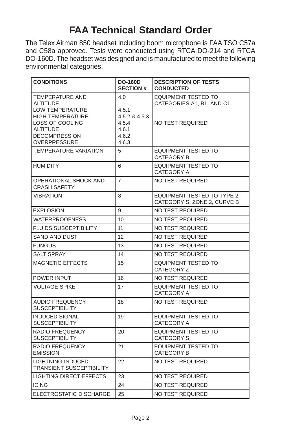# **FAA Technical Standard Order**

The Telex Airman 850 headset including boom microphone is FAA TSO C57a and C58a approved. Tests were conducted using RTCA DO-214 and RTCA DO-160D. The headset was designed and is manufactured to meet the following environmental categories.

| <b>CONDITIONS</b>                                                   | <b>DO-160D</b><br><b>SECTION #</b> | <b>DESCRIPTION OF TESTS</b><br><b>CONDUCTED</b>                   |  |  |  |
|---------------------------------------------------------------------|------------------------------------|-------------------------------------------------------------------|--|--|--|
| <b>TEMPERATURE AND</b><br><b>ALTITUDE</b><br><b>LOW TEMPERATURE</b> | 4.0<br>4.5.1                       | <b>EQUIPMENT TESTED TO</b><br>CATEGORIES A1, B1, AND C1           |  |  |  |
| <b>HIGH TEMPERATURE</b>                                             | 4.5.2 & 4.5.3                      |                                                                   |  |  |  |
| LOSS OF COOLING<br><b>ALTITUDE</b>                                  | 4.5.4<br>4.6.1                     | <b>NO TEST REQUIRED</b>                                           |  |  |  |
| <b>DECOMPRESSION</b><br><b>OVERPRESSURE</b>                         | 4.6.2<br>4.6.3                     |                                                                   |  |  |  |
| <b>TEMPERATURE VARIATION</b>                                        | 5                                  | <b>EQUIPMENT TESTED TO</b>                                        |  |  |  |
|                                                                     |                                    | <b>CATEGORY B</b>                                                 |  |  |  |
| <b>HUMIDITY</b>                                                     | 6                                  | <b>EQUIPMENT TESTED TO</b><br><b>CATEGORY A</b>                   |  |  |  |
| OPERATIONAL SHOCK AND<br><b>CRASH SAFETY</b>                        | $\overline{7}$                     | NO TEST REQUIRED                                                  |  |  |  |
| <b>VIBRATION</b>                                                    | 8                                  | <b>EQUIPMENT TESTED TO TYPE 2.</b><br>CATEGORY S, ZONE 2, CURVE B |  |  |  |
| <b>EXPLOSION</b>                                                    | 9                                  | <b>NO TEST REQUIRED</b>                                           |  |  |  |
| <b>WATERPROOFNESS</b>                                               | 10                                 | NO TEST REQUIRED                                                  |  |  |  |
| <b>FLUIDS SUSCEPTIBILITY</b>                                        | 11                                 | <b>NO TEST REQUIRED</b>                                           |  |  |  |
| <b>SAND AND DUST</b>                                                | 12                                 | NO TEST REQUIRED                                                  |  |  |  |
| <b>FUNGUS</b>                                                       | 13                                 | <b>NO TEST REQUIRED</b>                                           |  |  |  |
| <b>SALT SPRAY</b>                                                   | 14                                 | <b>NO TEST REQUIRED</b>                                           |  |  |  |
| <b>MAGNETIC EFFECTS</b>                                             | 15                                 | <b>EQUIPMENT TESTED TO</b><br>CATEGORY Z                          |  |  |  |
| POWER INPUT                                                         | 16                                 | <b>NO TEST REQUIRED</b>                                           |  |  |  |
| <b>VOLTAGE SPIKE</b>                                                | 17                                 | <b>EQUIPMENT TESTED TO</b><br><b>CATEGORY A</b>                   |  |  |  |
| <b>AUDIO FREQUENCY</b><br><b>SUSCEPTIBILITY</b>                     | 18                                 | <b>NO TEST REQUIRED</b>                                           |  |  |  |
| <b>INDUCED SIGNAL</b><br><b>SUSCEPTIBILITY</b>                      | 19                                 | <b>EQUIPMENT TESTED TO</b><br>CATEGORY A                          |  |  |  |
| RADIO FREQUENCY<br><b>SUSCEPTIBILITY</b>                            | 20                                 | EQUIPMENT TESTED TO<br><b>CATEGORY S</b>                          |  |  |  |
| RADIO FREQUENCY<br><b>EMISSION</b>                                  | 21                                 | <b>EQUIPMENT TESTED TO</b><br><b>CATEGORY B</b>                   |  |  |  |
| <b>LIGHTNING INDUCED</b><br><b>TRANSIENT SUSCEPTIBILITY</b>         | 22                                 | <b>NO TEST REQUIRED</b>                                           |  |  |  |
| <b>LIGHTING DIRECT EFFECTS</b>                                      | 23                                 | NO TEST REQUIRED                                                  |  |  |  |
| <b>ICING</b>                                                        | 24                                 | NO TEST REQUIRED                                                  |  |  |  |
| ELECTROSTATIC DISCHARGE                                             | 25                                 | <b>NO TEST REQUIRED</b>                                           |  |  |  |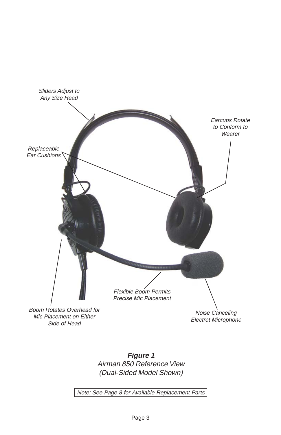

**Figure 1** Airman 850 Reference View (Dual-Sided Model Shown)

Note: See Page 8 for Available Replacement Parts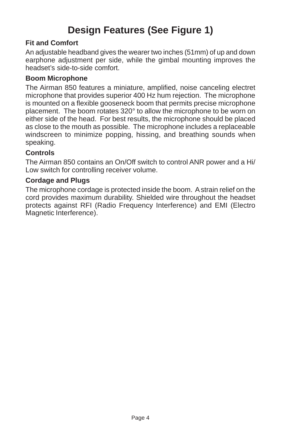# **Design Features (See Figure 1)**

#### **Fit and Comfort**

An adjustable headband gives the wearer two inches (51mm) of up and down earphone adjustment per side, while the gimbal mounting improves the headset's side-to-side comfort.

#### **Boom Microphone**

The Airman 850 features a miniature, amplified, noise canceling electret microphone that provides superior 400 Hz hum rejection. The microphone is mounted on a flexible gooseneck boom that permits precise microphone placement. The boom rotates 320° to allow the microphone to be worn on either side of the head. For best results, the microphone should be placed as close to the mouth as possible. The microphone includes a replaceable windscreen to minimize popping, hissing, and breathing sounds when speaking.

#### **Controls**

The Airman 850 contains an On/Off switch to control ANR power and a Hi/ Low switch for controlling receiver volume.

#### **Cordage and Plugs**

The microphone cordage is protected inside the boom. A strain relief on the cord provides maximum durability. Shielded wire throughout the headset protects against RFI (Radio Frequency Interference) and EMI (Electro Magnetic Interference).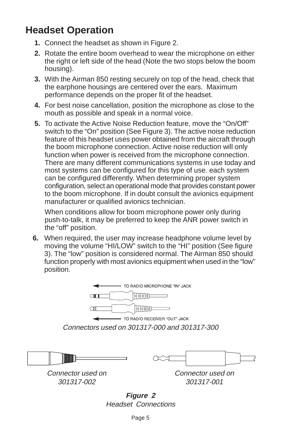# **Headset Operation**

- **1.** Connect the headset as shown in Figure 2.
- **2.** Rotate the entire boom overhead to wear the microphone on either the right or left side of the head (Note the two stops below the boom housing).
- **3.** With the Airman 850 resting securely on top of the head, check that the earphone housings are centered over the ears. Maximum performance depends on the proper fit of the headset.
- **4.** For best noise cancellation, position the microphone as close to the mouth as possible and speak in a normal voice.
- **5.** To activate the Active Noise Reduction feature, move the "On/Off" switch to the "On" position (See Figure 3). The active noise reduction feature of this headset uses power obtained from the aircraft through the boom microphone connection. Active noise reduction will only function when power is received from the microphone connection. There are many different communications systems in use today and most systems can be configured for this type of use. each system can be configured differently. When determining proper system configuration, select an operational mode that provides constant power to the boom microphone. If in doubt consult the avionics equipment manufacturer or qualified avionics technician.

When conditions allow for boom microphone power only during push-to-talk, it may be preferred to keep the ANR power switch in the "off" position.

**6.** When required, the user may increase headphone volume level by moving the volume "HI/LOW" switch to the "HI" position (See figure 3). The "low" position is considered normal. The Airman 850 should function properly with most avionics equipment when used in the "low" position.







Connector used on 301317-002

Connector used on 301317-001

**Figure 2** Headset Connections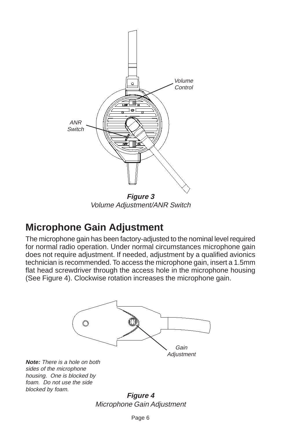

Volume Adjustment/ANR Switch

### **Microphone Gain Adjustment**

The microphone gain has been factory-adjusted to the nominal level required for normal radio operation. Under normal circumstances microphone gain does not require adjustment. If needed, adjustment by a qualified avionics technician is recommended. To access the microphone gain, insert a 1.5mm flat head screwdriver through the access hole in the microphone housing (See Figure 4). Clockwise rotation increases the microphone gain.



**Note:** There is a hole on both sides of the microphone housing. One is blocked by foam. Do not use the side blocked by foam.

**Figure 4** Microphone Gain Adjustment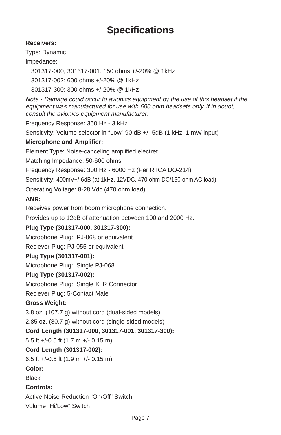## **Specifications**

#### **Receivers:**

Type: Dynamic

#### Impedance:

301317-000, 301317-001: 150 ohms +/-20% @ 1kHz

301317-002: 600 ohms +/-20% @ 1kHz

301317-300: 300 ohms +/-20% @ 1kHz

Note - Damage could occur to avionics equipment by the use of this headset if the equipment was manufactured for use with 600 ohm headsets only. If in doubt, consult the avionics equipment manufacturer.

Frequency Response: 350 Hz - 3 kHz

Sensitivity: Volume selector in "Low" 90 dB +/- 5dB (1 kHz, 1 mW input)

#### **Microphone and Amplifier:**

Element Type: Noise-canceling amplified electret

Matching Impedance: 50-600 ohms

Frequency Response: 300 Hz - 6000 Hz (Per RTCA DO-214)

Sensitivity: 400mV+/-6dB (at 1kHz, 12VDC, 470 ohm DC/150 ohm AC load)

Operating Voltage: 8-28 Vdc (470 ohm load)

#### **ANR:**

Receives power from boom microphone connection.

Provides up to 12dB of attenuation between 100 and 2000 Hz.

#### **Plug Type (301317-000, 301317-300):**

Microphone Plug: PJ-068 or equivalent

Reciever Plug: PJ-055 or equivalent

#### **Plug Type (301317-001):**

Microphone Plug: Single PJ-068

#### **Plug Type (301317-002):**

Microphone Plug: Single XLR Connector

Reciever Plug: 5-Contact Male

#### **Gross Weight:**

3.8 oz. (107.7 g) without cord (dual-sided models)

2.85 oz. (80.7 g) without cord (single-sided models)

#### **Cord Length (301317-000, 301317-001, 301317-300):**

5.5 ft +/-0.5 ft (1.7 m +/- 0.15 m)

#### **Cord Length (301317-002):**

6.5 ft +/-0.5 ft (1.9 m +/- 0.15 m)

#### **Color:**

**Black** 

#### **Controls:**

Active Noise Reduction "On/Off" Switch

Volume "Hi/Low" Switch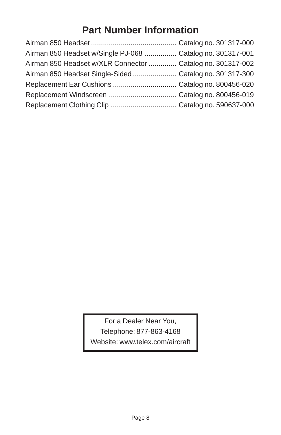## **Part Number Information**

| Airman 850 Headset w/Single PJ-068  Catalog no. 301317-001 |  |
|------------------------------------------------------------|--|
| Airman 850 Headset w/XLR Connector  Catalog no. 301317-002 |  |
| Airman 850 Headset Single-Sided Catalog no. 301317-300     |  |
|                                                            |  |
|                                                            |  |
|                                                            |  |

For a Dealer Near You, Telephone: 877-863-4168 Website: www.telex.com/aircraft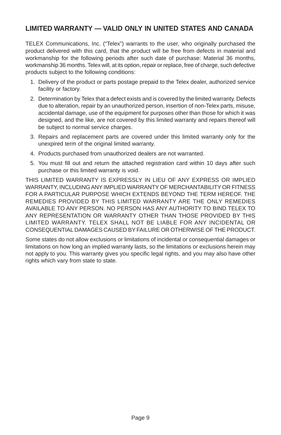#### **LIMITED WARRANTY — VALID ONLY IN UNITED STATES AND CANADA**

TELEX Communications, Inc. ("Telex") warrants to the user, who originally purchased the product delivered with this card, that the product will be free from defects in material and workmanship for the following periods after such date of purchase: Material 36 months, workmanship 36 months. Telex will, at its option, repair or replace, free of charge, such defective products subject to the following conditions:

- 1. Delivery of the product or parts postage prepaid to the Telex dealer, authorized service facility or factory.
- 2. Determination by Telex that a defect exists and is covered by the limited warranty. Defects due to alteration, repair by an unauthorized person, insertion of non-Telex parts, misuse, accidental damage, use of the equipment for purposes other than those for which it was designed, and the like, are not covered by this limited warranty and repairs thereof will be subject to normal service charges.
- 3. Repairs and replacement parts are covered under this limited warranty only for the unexpired term of the original limited warranty.
- 4. Products purchased from unauthorized dealers are not warranted.
- 5. You must fill out and return the attached registration card within 10 days after such purchase or this limited warranty is void.

THIS LIMITED WARRANTY IS EXPRESSLY IN LIEU OF ANY EXPRESS OR IMPLIED WARRANTY, INCLUDING ANY IMPLIED WARRANTY OF MERCHANTABILITY OR FITNESS FOR A PARTICULAR PURPOSE WHICH EXTENDS BEYOND THE TERM HEREOF. THE REMEDIES PROVIDED BY THIS LIMITED WARRANTY ARE THE ONLY REMEDIES AVAILABLE TO ANY PERSON. NO PERSON HAS ANY AUTHORITY TO BIND TELEX TO ANY REPRESENTATION OR WARRANTY OTHER THAN THOSE PROVIDED BY THIS LIMITED WARRANTY. TELEX SHALL NOT BE LIABLE FOR ANY INCIDENTAL OR CONSEQUENTIAL DAMAGES CAUSED BY FAILURE OR OTHERWISE OF THE PRODUCT.

Some states do not allow exclusions or limitations of incidental or consequential damages or limitations on how long an implied warranty lasts, so the limitations or exclusions herein may not apply to you. This warranty gives you specific legal rights, and you may also have other rights which vary from state to state.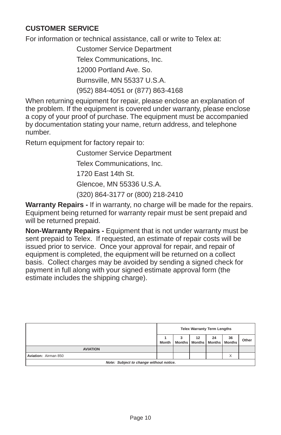#### **CUSTOMER SERVICE**

For information or technical assistance, call or write to Telex at:

Customer Service Department Telex Communications, Inc. 12000 Portland Ave. So.

Burnsville, MN 55337 U.S.A.

(952) 884-4051 or (877) 863-4168

When returning equipment for repair, please enclose an explanation of the problem. If the equipment is covered under warranty, please enclose a copy of your proof of purchase. The equipment must be accompanied by documentation stating your name, return address, and telephone number.

Return equipment for factory repair to:

Customer Service Department

Telex Communications, Inc.

1720 East 14th St.

Glencoe, MN 55336 U.S.A.

(320) 864-3177 or (800) 218-2410

**Warranty Repairs -** If in warranty, no charge will be made for the repairs. Equipment being returned for warranty repair must be sent prepaid and will be returned prepaid.

**Non-Warranty Repairs -** Equipment that is not under warranty must be sent prepaid to Telex. If requested, an estimate of repair costs will be issued prior to service. Once your approval for repair, and repair of equipment is completed, the equipment will be returned on a collect basis. Collect charges may be avoided by sending a signed check for payment in full along with your signed estimate approval form (the estimate includes the shipping charge).

|                                         | <b>Telex Warranty Term Lengths</b> |  |                                |    |                     |       |  |
|-----------------------------------------|------------------------------------|--|--------------------------------|----|---------------------|-------|--|
|                                         | Month                              |  | 12<br>Months   Months   Months | 24 | 36<br><b>Months</b> | Other |  |
| <b>AVIATION</b>                         |                                    |  |                                |    |                     |       |  |
| Aviation: Airman 850                    |                                    |  |                                |    |                     |       |  |
| Note: Subject to change without notice. |                                    |  |                                |    |                     |       |  |